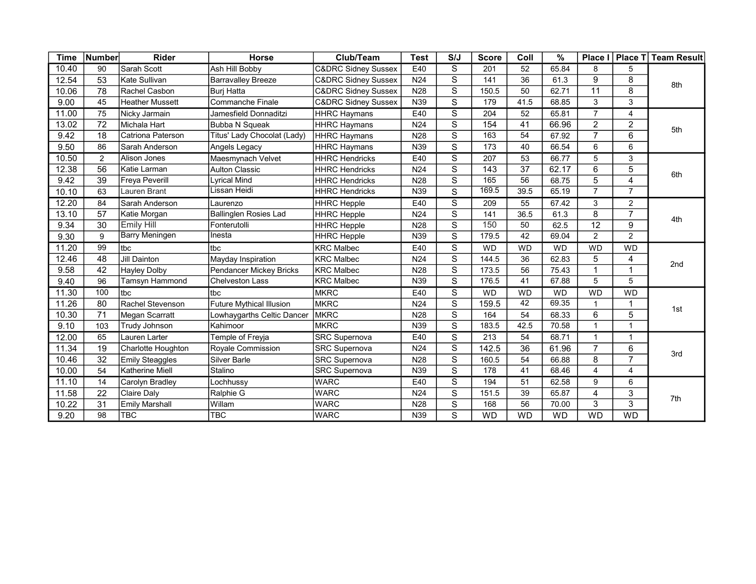| <b>Time</b> | Number          | <b>Rider</b>           | Horse                           | Club/Team                      | <b>Test</b>     | S/J                     | <b>Score</b>     | Coll            | $\%$      | Place I         | <b>Place T</b> | <b>Team Result</b> |  |
|-------------|-----------------|------------------------|---------------------------------|--------------------------------|-----------------|-------------------------|------------------|-----------------|-----------|-----------------|----------------|--------------------|--|
| 10.40       | 90              | Sarah Scott            | Ash Hill Bobby                  | <b>C&amp;DRC Sidney Sussex</b> | E40             | S                       | 201              | 52              | 65.84     | 8               | 5              | 8th                |  |
| 12.54       | 53              | Kate Sullivan          | <b>Barravalley Breeze</b>       | <b>C&amp;DRC Sidney Sussex</b> | N <sub>24</sub> | S                       | 141              | 36              | 61.3      | 9               | 8              |                    |  |
| 10.06       | 78              | Rachel Casbon          | <b>Buri Hatta</b>               | <b>C&amp;DRC Sidney Sussex</b> | N28             | $\overline{\mathbf{s}}$ | 150.5            | 50              | 62.71     | 11              | 8              |                    |  |
| 9.00        | 45              | <b>Heather Mussett</b> | Commanche Finale                | <b>C&amp;DRC Sidney Sussex</b> | N39             | $\mathbf S$             | 179              | 41.5            | 68.85     | 3               | 3              |                    |  |
| 11.00       | 75              | Nicky Jarmain          | Jamesfield Donnaditzi           | <b>HHRC Haymans</b>            | E40             | $\overline{s}$          | 204              | 52              | 65.81     | $\overline{7}$  | 4              | 5th                |  |
| 13.02       | $\overline{72}$ | Michala Hart           | <b>Bubba N Squeak</b>           | <b>HHRC Haymans</b>            | N <sub>24</sub> | $\overline{s}$          | 154              | 41              | 66.96     | $\overline{2}$  | $\overline{2}$ |                    |  |
| 9.42        | 18              | Catriona Paterson      | Titus' Lady Chocolat (Lady)     | <b>HHRC Haymans</b>            | N28             | $\overline{s}$          | 163              | 54              | 67.92     | $\overline{7}$  | 6              |                    |  |
| 9.50        | 86              | Sarah Anderson         | Angels Legacy                   | <b>HHRC Haymans</b>            | N39             | $\mathbf S$             | 173              | 40              | 66.54     | 6               | 6              |                    |  |
| 10.50       | $\overline{2}$  | Alison Jones           | Maesmynach Velvet               | <b>HHRC Hendricks</b>          | E40             | $\overline{s}$          | 207              | 53              | 66.77     | 5               | 3              | 6th                |  |
| 12.38       | 56              | Katie Larman           | <b>Aulton Classic</b>           | <b>HHRC Hendricks</b>          | N <sub>24</sub> | $\overline{s}$          | 143              | $\overline{37}$ | 62.17     | 6               | 5              |                    |  |
| 9.42        | 39              | <b>Freya Peverill</b>  | Lyrical Mind                    | <b>HHRC Hendricks</b>          | N28             | $\overline{s}$          | 165              | 56              | 68.75     | 5               | 4              |                    |  |
| 10.10       | 63              | Lauren Brant           | Lissan Heidi                    | <b>HHRC Hendricks</b>          | N39             | $\overline{s}$          | 169.5            | 39.5            | 65.19     | $\overline{7}$  | $\overline{7}$ |                    |  |
| 12.20       | 84              | Sarah Anderson         | Laurenzo                        | <b>HHRC</b> Hepple             | E40             | $\overline{s}$          | $\overline{209}$ | 55              | 67.42     | 3               | $\overline{c}$ |                    |  |
| 13.10       | 57              | Katie Morgan           | Ballinglen Rosies Lad           | <b>HHRC Hepple</b>             | N <sub>24</sub> | $\overline{s}$          | 141              | 36.5            | 61.3      | 8               | $\overline{7}$ | 4th                |  |
| 9.34        | 30              | <b>Emily Hill</b>      | Fonterutolli                    | <b>HHRC Hepple</b>             | N28             | $\overline{s}$          | 150              | 50              | 62.5      | $\overline{12}$ | 9              |                    |  |
| 9.30        | 9               | <b>Barry Meningen</b>  | Inesta                          | <b>HHRC Hepple</b>             | N39             | $\mathbf S$             | 179.5            | 42              | 69.04     | $\overline{2}$  | $\overline{2}$ |                    |  |
| 11.20       | 99              | tbc                    | tbc                             | <b>KRC Malbec</b>              | E40             | $\overline{s}$          | <b>WD</b>        | <b>WD</b>       | <b>WD</b> | <b>WD</b>       | <b>WD</b>      | 2nd                |  |
| 12.46       | 48              | <b>Jill Dainton</b>    | <b>Mayday Inspiration</b>       | <b>KRC Malbec</b>              | N <sub>24</sub> | $\mathbf S$             | 144.5            | 36              | 62.83     | 5               | 4              |                    |  |
| 9.58        | 42              | <b>Hayley Dolby</b>    | <b>Pendancer Mickey Bricks</b>  | <b>KRC Malbec</b>              | N28             | $\mathbf S$             | 173.5            | 56              | 75.43     | $\overline{1}$  | $\mathbf{1}$   |                    |  |
| 9.40        | 96              | Tamsyn Hammond         | <b>Chelveston Lass</b>          | <b>KRC Malbec</b>              | N39             | $\mathbf S$             | 176.5            | 41              | 67.88     | 5               | 5              |                    |  |
| 11.30       | 100             | tbc                    | tbc                             | <b>MKRC</b>                    | E40             | $\overline{s}$          | <b>WD</b>        | <b>WD</b>       | <b>WD</b> | <b>WD</b>       | <b>WD</b>      |                    |  |
| 11.26       | 80              | Rachel Stevenson       | <b>Future Mythical Illusion</b> | <b>MKRC</b>                    | N24             | $\mathbf S$             | 159.5            | 42              | 69.35     | $\overline{1}$  | $\mathbf{1}$   | 1st                |  |
| 10.30       | 71              | Megan Scarratt         | owhaygarths Celtic Dancer       | <b>MKRC</b>                    | N <sub>28</sub> | $\mathbf S$             | 164              | 54              | 68.33     | 6               | 5              |                    |  |
| 9.10        | 103             | Trudy Johnson          | Kahimoor                        | <b>MKRC</b>                    | N39             | $\overline{s}$          | 183.5            | 42.5            | 70.58     | $\overline{1}$  | $\overline{1}$ |                    |  |
| 12.00       | 65              | Lauren Larter          | Temple of Freyja                | <b>SRC Supernova</b>           | E40             | $\overline{s}$          | 213              | 54              | 68.71     | $\overline{1}$  | $\mathbf{1}$   |                    |  |
| 11.34       | 19              | Charlotte Houghton     | Royale Commission               | <b>SRC Supernova</b>           | N <sub>24</sub> | $\mathbf S$             | 142.5            | 36              | 61.96     | $\overline{7}$  | 6              | 3rd                |  |
| 10.46       | 32              | Emily Steaggles        | <b>Silver Barle</b>             | <b>SRC Supernova</b>           | N28             | $\mathbf S$             | 160.5            | 54              | 66.88     | 8               | $\overline{7}$ |                    |  |
| 10.00       | 54              | Katherine Miell        | Stalino                         | <b>SRC</b> Supernova           | N39             | $\mathbf S$             | 178              | 41              | 68.46     | $\overline{4}$  | 4              |                    |  |
| 11.10       | 14              | Carolyn Bradley        | Lochhussy                       | <b>WARC</b>                    | E40             | S                       | 194              | 51              | 62.58     | 9               | 6              |                    |  |
| 11.58       | 22              | Claire Daly            | Ralphie G                       | <b>WARC</b>                    | N24             | $\mathbf S$             | 151.5            | 39              | 65.87     | 4               | 3              | 7th                |  |
| 10.22       | 31              | <b>Emily Marshall</b>  | Willam                          | <b>WARC</b>                    | N28             | $\overline{s}$          | 168              | 56              | 70.00     | 3               | 3              |                    |  |
| 9.20        | 98              | TBC                    | <b>TBC</b>                      | <b>WARC</b>                    | N39             | $\overline{\mathbf{s}}$ | <b>WD</b>        | <b>WD</b>       | <b>WD</b> | <b>WD</b>       | <b>WD</b>      |                    |  |